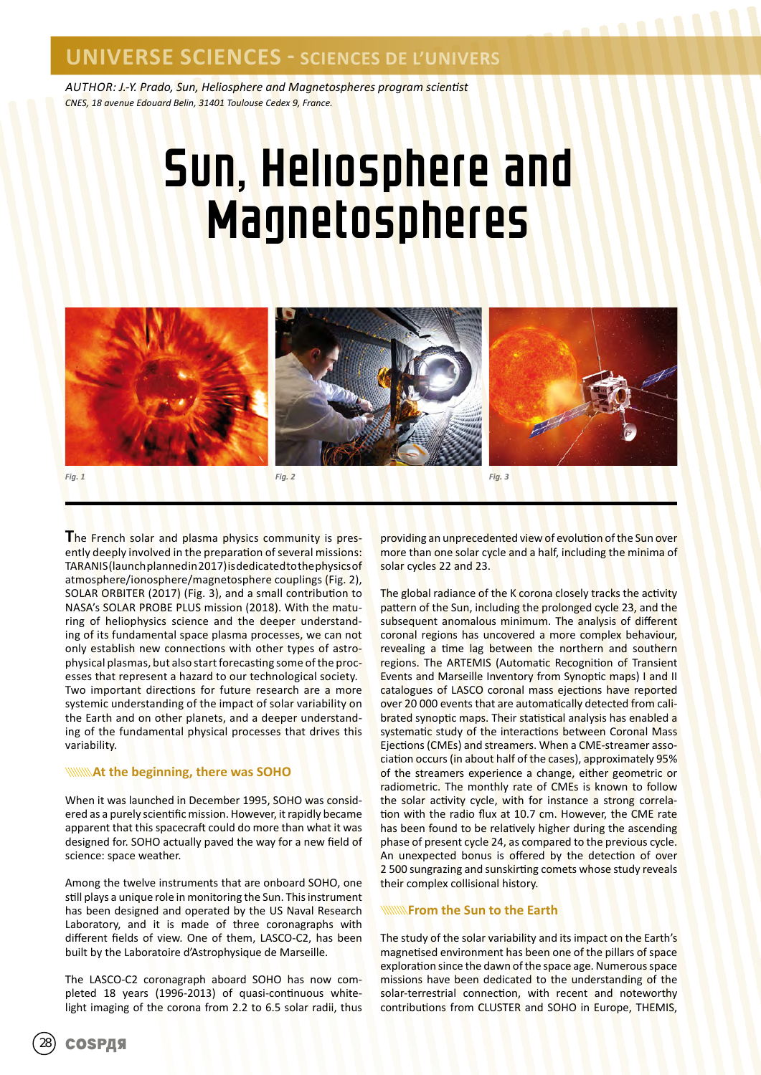*AUTHOR: J.-Y. Prado, Sun, Heliosphere and Magnetospheres program scientist CNES, 18 avenue Edouard Belin, 31401 Toulouse Cedex 9, France.*

# Sun, Heliosphere and **Magnetospheres**



**T**he French solar and plasma physics community is presently deeply involved in the preparation of several missions: TARANIS (launch planned in 2017) is dedicated to the physics of atmosphere/ionosphere/magnetosphere couplings (Fig. 2), SOLAR ORBITER (2017) (Fig. 3), and a small contribution to NASA's SOLAR PROBE PLUS mission (2018). With the maturing of heliophysics science and the deeper understanding of its fundamental space plasma processes, we can not only establish new connections with other types of astrophysical plasmas, but also start forecasting some of the processes that represent a hazard to our technological society. Two important directions for future research are a more systemic understanding of the impact of solar variability on the Earth and on other planets, and a deeper understanding of the fundamental physical processes that drives this variability.

#### *At the beginning, there was SOHO*

When it was launched in December 1995, SOHO was considered as a purely scientific mission. However, it rapidly became apparent that this spacecraft could do more than what it was designed for. SOHO actually paved the way for a new field of science: space weather.

Among the twelve instruments that are onboard SOHO, one still plays a unique role in monitoring the Sun. This instrument has been designed and operated by the US Naval Research Laboratory, and it is made of three coronagraphs with different fields of view. One of them, LASCO-C2, has been built by the Laboratoire d'Astrophysique de Marseille.

The LASCO-C2 coronagraph aboard SOHO has now completed 18 years (1996-2013) of quasi-continuous whitelight imaging of the corona from 2.2 to 6.5 solar radii, thus

providing an unprecedented view of evolution of the Sun over more than one solar cycle and a half, including the minima of solar cycles 22 and 23.

The global radiance of the K corona closely tracks the activity pattern of the Sun, including the prolonged cycle 23, and the subsequent anomalous minimum. The analysis of different coronal regions has uncovered a more complex behaviour, revealing a time lag between the northern and southern regions. The ARTEMIS (Automatic Recognition of Transient Events and Marseille Inventory from Synoptic maps) I and II catalogues of LASCO coronal mass ejections have reported over 20 000 events that are automatically detected from calibrated synoptic maps. Their statistical analysis has enabled a systematic study of the interactions between Coronal Mass Ejections (CMEs) and streamers. When a CME-streamer association occurs (in about half of the cases), approximately 95% of the streamers experience a change, either geometric or radiometric. The monthly rate of CMEs is known to follow the solar activity cycle, with for instance a strong correlation with the radio flux at 10.7 cm. However, the CME rate has been found to be relatively higher during the ascending phase of present cycle 24, as compared to the previous cycle. An unexpected bonus is offered by the detection of over 2 500 sungrazing and sunskirting comets whose study reveals their complex collisional history.

#### **From the Sun to the Earth**

The study of the solar variability and its impact on the Earth's magnetised environment has been one of the pillars of space exploration since the dawn of the space age. Numerous space missions have been dedicated to the understanding of the solar-terrestrial connection, with recent and noteworthy contributions from CLUSTER and SOHO in Europe, THEMIS,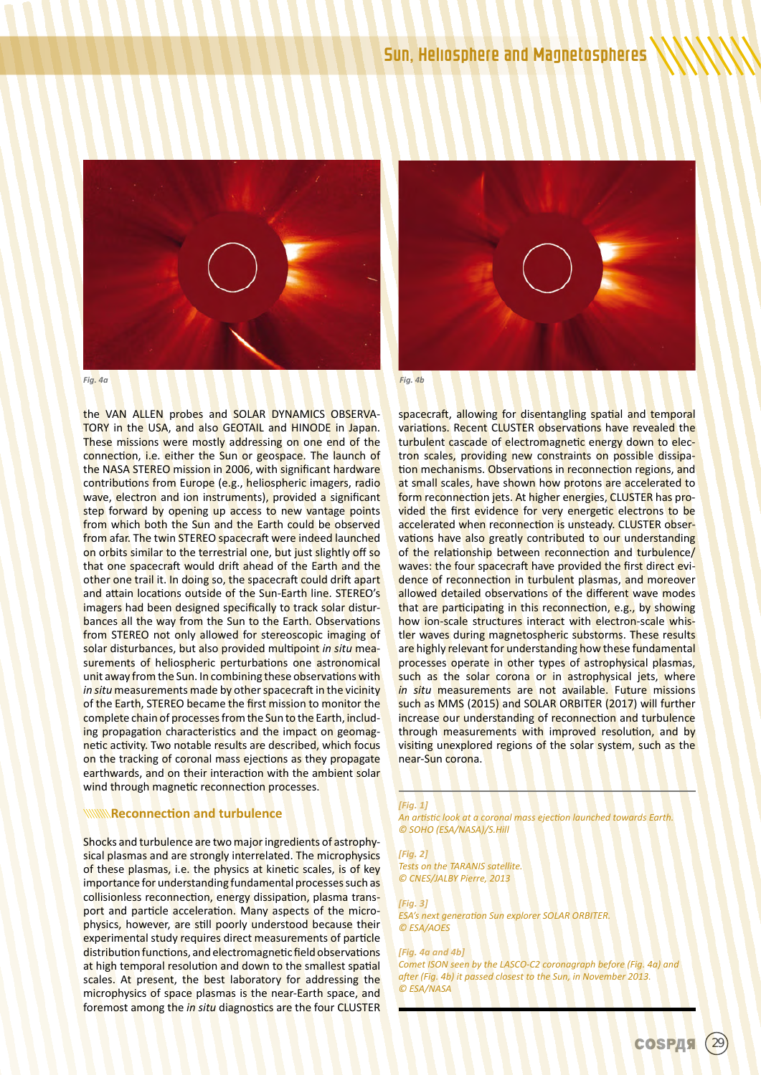



the VAN ALLEN probes and SOLAR DYNAMICS OBSERVA-TORY in the USA, and also GEOTAIL and HINODE in Japan. These missions were mostly addressing on one end of the connection, i.e. either the Sun or geospace. The launch of the NASA STEREO mission in 2006, with significant hardware contributions from Europe (e.g., heliospheric imagers, radio wave, electron and ion instruments), provided a significant step forward by opening up access to new vantage points from which both the Sun and the Earth could be observed from afar. The twin STEREO spacecraft were indeed launched on orbits similar to the terrestrial one, but just slightly off so that one spacecraft would drift ahead of the Earth and the other one trail it. In doing so, the spacecraft could drift apart and attain locations outside of the Sun-Earth line. STEREO's imagers had been designed specifically to track solar disturbances all the way from the Sun to the Earth. Observations from STEREO not only allowed for stereoscopic imaging of solar disturbances, but also provided multipoint *in situ* measurements of heliospheric perturbations one astronomical unit away from the Sun. In combining these observations with in situ measurements made by other spacecraft in the vicinity of the Earth, STEREO became the first mission to monitor the complete chain of processes from the Sun to the Earth, including propagation characteristics and the impact on geomagnetic activity. Two notable results are described, which focus on the tracking of coronal mass ejections as they propagate earthwards, and on their interaction with the ambient solar wind through magnetic reconnection processes.

#### **Reconnection and turbulence**

Shocks and turbulence are two major ingredients of astrophysical plasmas and are strongly interrelated. The microphysics of these plasmas, i.e. the physics at kinetic scales, is of key importance for understanding fundamental processes such as collisionless reconnection, energy dissipation, plasma transport and particle acceleration. Many aspects of the microphysics, however, are still poorly understood because their experimental study requires direct measurements of particle distribution functions, and electromagnetic field observations at high temporal resolution and down to the smallest spatial scales. At present, the best laboratory for addressing the microphysics of space plasmas is the near-Earth space, and foremost among the *in situ* diagnostics are the four CLUSTER



spacecraft, allowing for disentangling spatial and temporal variations. Recent CLUSTER observations have revealed the turbulent cascade of electromagnetic energy down to electron scales, providing new constraints on possible dissipation mechanisms. Observations in reconnection regions, and at small scales, have shown how protons are accelerated to form reconnection jets. At higher energies, CLUSTER has provided the first evidence for very energetic electrons to be accelerated when reconnection is unsteady. CLUSTER observations have also greatly contributed to our understanding of the relationship between reconnection and turbulence/ waves: the four spacecraft have provided the first direct evidence of reconnection in turbulent plasmas, and moreover allowed detailed observations of the different wave modes that are participating in this reconnection, e.g., by showing how ion-scale structures interact with electron-scale whistler waves during magnetospheric substorms. These results are highly relevant for understanding how these fundamental processes operate in other types of astrophysical plasmas, such as the solar corona or in astrophysical jets, where *in situ* measurements are not available. Future missions such as MMS (2015) and SOLAR ORBITER (2017) will further increase our understanding of reconnection and turbulence through measurements with improved resolution, and by visiting unexplored regions of the solar system, such as the near-Sun corona.

#### *[Fig. 1]*

*An artistic look at a coronal mass ejection launched towards Earth. © SOHO (ESA/NASA)/S.Hill*

#### *[Fig. 2]*

*Tests on the TARANIS satellite. © CNES/JALBY Pierre, 2013*

#### *[Fig. 3]*

*ESA's next generation Sun explorer SOLAR ORBITER. © ESA/AOES*

#### *[Fig. 4a and 4b]*

*Comet ISON seen by the LASCO-C2 coronagraph before (Fig. 4a) and after (Fig. 4b) it passed closest to the Sun, in November 2013. © ESA/NASA*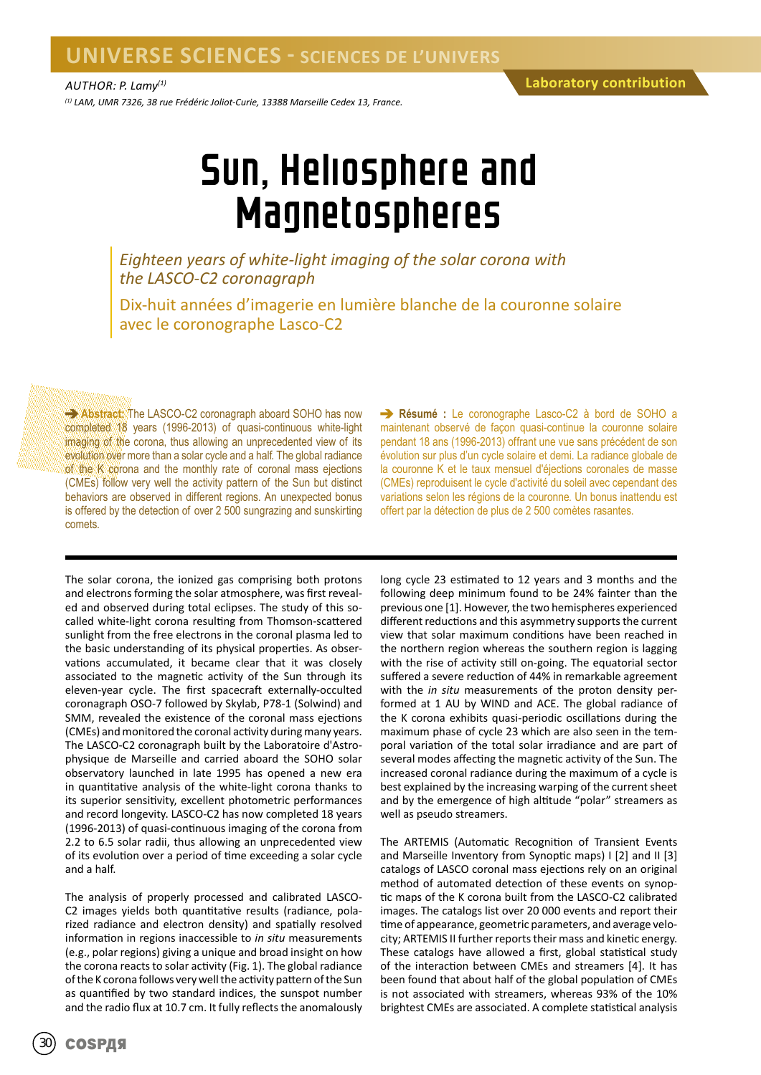*(1) LAM, UMR 7326, 38 rue Frédéric Joliot-Curie, 13388 Marseille Cedex 13, France.*

### Sun, Heliosphere and Magnetospheres

*Eighteen years of white-light imaging of the solar corona with the LASCO-C2 coronagraph*

Dix-huit années d'imagerie en lumière blanche de la couronne solaire avec le coronographe Lasco-C2

**Abstract:** The LASCO-C2 coronagraph aboard SOHO has now completed 18 years (1996-2013) of quasi-continuous white-light imaging of the corona, thus allowing an unprecedented view of its evolution over more than a solar cycle and a half. The global radiance of the K corona and the monthly rate of coronal mass ejections (CMEs) follow very well the activity pattern of the Sun but distinct behaviors are observed in different regions. An unexpected bonus is offered by the detection of over 2 500 sungrazing and sunskirting comets.

The solar corona, the ionized gas comprising both protons and electrons forming the solar atmosphere, was first revealed and observed during total eclipses. The study of this socalled white-light corona resulting from Thomson-scattered sunlight from the free electrons in the coronal plasma led to the basic understanding of its physical properties. As observations accumulated, it became clear that it was closely associated to the magnetic activity of the Sun through its eleven-year cycle. The first spacecraft externally-occulted coronagraph OSO-7 followed by Skylab, P78-1 (Solwind) and SMM, revealed the existence of the coronal mass ejections (CMEs) and monitored the coronal activity during many years. The LASCO-C2 coronagraph built by the Laboratoire d'Astrophysique de Marseille and carried aboard the SOHO solar observatory launched in late 1995 has opened a new era in quantitative analysis of the white-light corona thanks to its superior sensitivity, excellent photometric performances and record longevity. LASCO-C2 has now completed 18 years (1996-2013) of quasi-continuous imaging of the corona from 2.2 to 6.5 solar radii, thus allowing an unprecedented view of its evolution over a period of time exceeding a solar cycle and a half.

The analysis of properly processed and calibrated LASCO-C2 images yields both quantitative results (radiance, polarized radiance and electron density) and spatially resolved information in regions inaccessible to *in situ* measurements (e.g., polar regions) giving a unique and broad insight on how the corona reacts to solar activity (Fig. 1). The global radiance of the K corona follows very well the activity pattern of the Sun as quantified by two standard indices, the sunspot number and the radio flux at 10.7 cm. It fully reflects the anomalously

**Résumé :** Le coronographe Lasco-C2 à bord de SOHO a maintenant observé de façon quasi-continue la couronne solaire pendant 18 ans (1996-2013) offrant une vue sans précédent de son évolution sur plus d'un cycle solaire et demi. La radiance globale de la couronne K et le taux mensuel d'éjections coronales de masse (CMEs) reproduisent le cycle d'activité du soleil avec cependant des variations selon les régions de la couronne. Un bonus inattendu est offert par la détection de plus de 2 500 comètes rasantes.

long cycle 23 estimated to 12 years and 3 months and the following deep minimum found to be 24% fainter than the previous one [1]. However, the two hemispheres experienced different reductions and this asymmetry supports the current view that solar maximum conditions have been reached in the northern region whereas the southern region is lagging with the rise of activity still on-going. The equatorial sector suffered a severe reduction of 44% in remarkable agreement with the *in situ* measurements of the proton density performed at 1 AU by WIND and ACE. The global radiance of the K corona exhibits quasi-periodic oscillations during the maximum phase of cycle 23 which are also seen in the temporal variation of the total solar irradiance and are part of several modes affecting the magnetic activity of the Sun. The increased coronal radiance during the maximum of a cycle is best explained by the increasing warping of the current sheet and by the emergence of high altitude "polar" streamers as well as pseudo streamers.

The ARTEMIS (Automatic Recognition of Transient Events and Marseille Inventory from Synoptic maps) I [2] and II [3] catalogs of LASCO coronal mass ejections rely on an original method of automated detection of these events on synoptic maps of the K corona built from the LASCO-C2 calibrated images. The catalogs list over 20 000 events and report their time of appearance, geometric parameters, and average velocity; ARTEMIS II further reports their mass and kinetic energy. These catalogs have allowed a first, global statistical study of the interaction between CMEs and streamers [4]. It has been found that about half of the global population of CMEs is not associated with streamers, whereas 93% of the 10% brightest CMEs are associated. A complete statistical analysis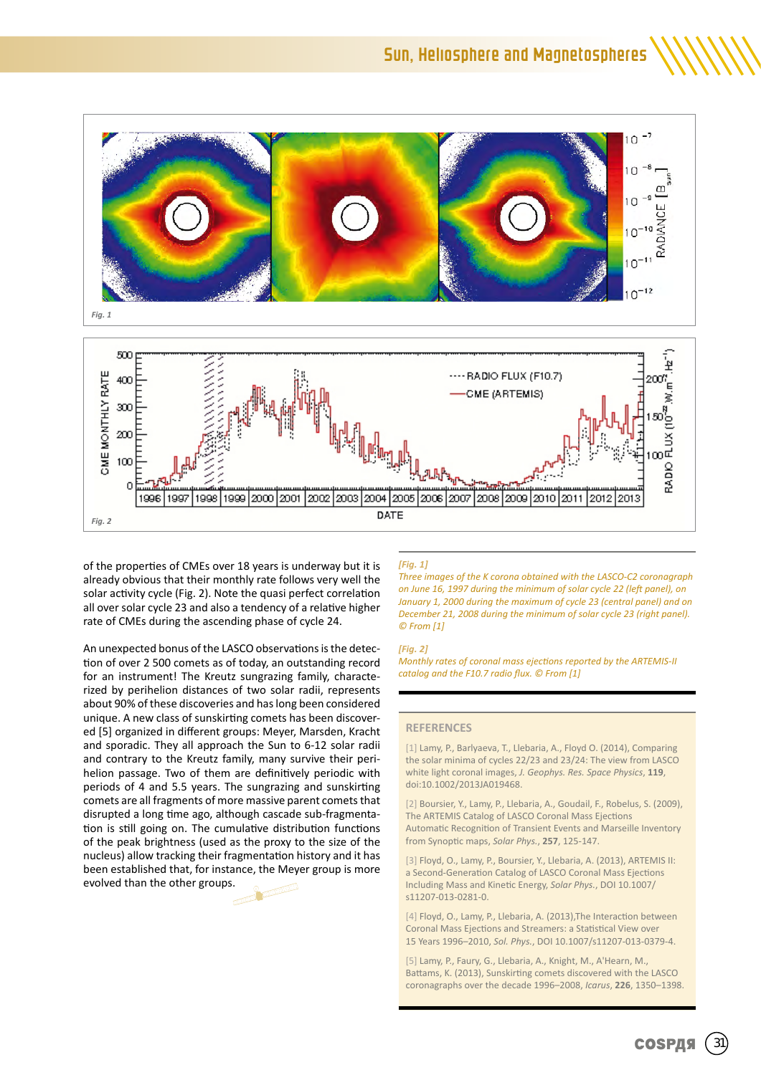

of the properties of CMEs over 18 years is underway but it is already obvious that their monthly rate follows very well the solar activity cycle (Fig. 2). Note the quasi perfect correlation all over solar cycle 23 and also a tendency of a relative higher rate of CMEs during the ascending phase of cycle 24.

An unexpected bonus of the LASCO observations is the detection of over 2 500 comets as of today, an outstanding record for an instrument! The Kreutz sungrazing family, characterized by perihelion distances of two solar radii, represents about 90% of these discoveries and has long been considered unique. A new class of sunskirting comets has been discovered [5] organized in different groups: Meyer, Marsden, Kracht and sporadic. They all approach the Sun to 6-12 solar radii and contrary to the Kreutz family, many survive their perihelion passage. Two of them are definitively periodic with periods of 4 and 5.5 years. The sungrazing and sunskirting comets are all fragments of more massive parent comets that disrupted a long time ago, although cascade sub-fragmentation is still going on. The cumulative distribution functions of the peak brightness (used as the proxy to the size of the nucleus) allow tracking their fragmentation history and it has been established that, for instance, the Meyer group is more evolved than the other groups.



#### *[Fig. 1]*

*Three images of the K corona obtained with the LASCO-C2 coronagraph on June 16, 1997 during the minimum of solar cycle 22 (left panel), on January 1, 2000 during the maximum of cycle 23 (central panel) and on December 21, 2008 during the minimum of solar cycle 23 (right panel). © From [1]*

#### *[Fig. 2]*

*Monthly rates of coronal mass ejections reported by the ARTEMIS-II catalog and the F10.7 radio flux. © From [1]*

#### **REFERENCES**

[1] Lamy, P., Barlyaeva, T., Llebaria, A., Floyd O. (2014), Comparing the solar minima of cycles 22/23 and 23/24: The view from LASCO white light coronal images, *J. Geophys. Res. Space Physics*, **119**, doi:10.1002/2013JA019468.

[2] Boursier, Y., Lamy, P., Llebaria, A., Goudail, F., Robelus, S. (2009), The ARTEMIS Catalog of LASCO Coronal Mass Ejections Automatic Recognition of Transient Events and Marseille Inventory from Synoptic maps, *Solar Phys.*, **257**, 125-147.

[3] Floyd, O., Lamy, P., Boursier, Y., Llebaria, A. (2013), ARTEMIS II: a Second-Generation Catalog of LASCO Coronal Mass Ejections Including Mass and Kinetic Energy, *Solar Phys.*, DOI 10.1007/ s11207-013-0281-0.

[4] Floyd, O., Lamy, P., Llebaria, A. (2013), The Interaction between Coronal Mass Ejections and Streamers: a Statistical View over 15 Years 1996–2010, *Sol. Phys.*, DOI 10.1007/s11207-013-0379-4.

[5] Lamy, P., Faury, G., Llebaria, A., Knight, M., A'Hearn, M., Battams, K. (2013), Sunskirting comets discovered with the LASCO coronagraphs over the decade 1996–2008, *Icarus*, **226**, 1350–1398.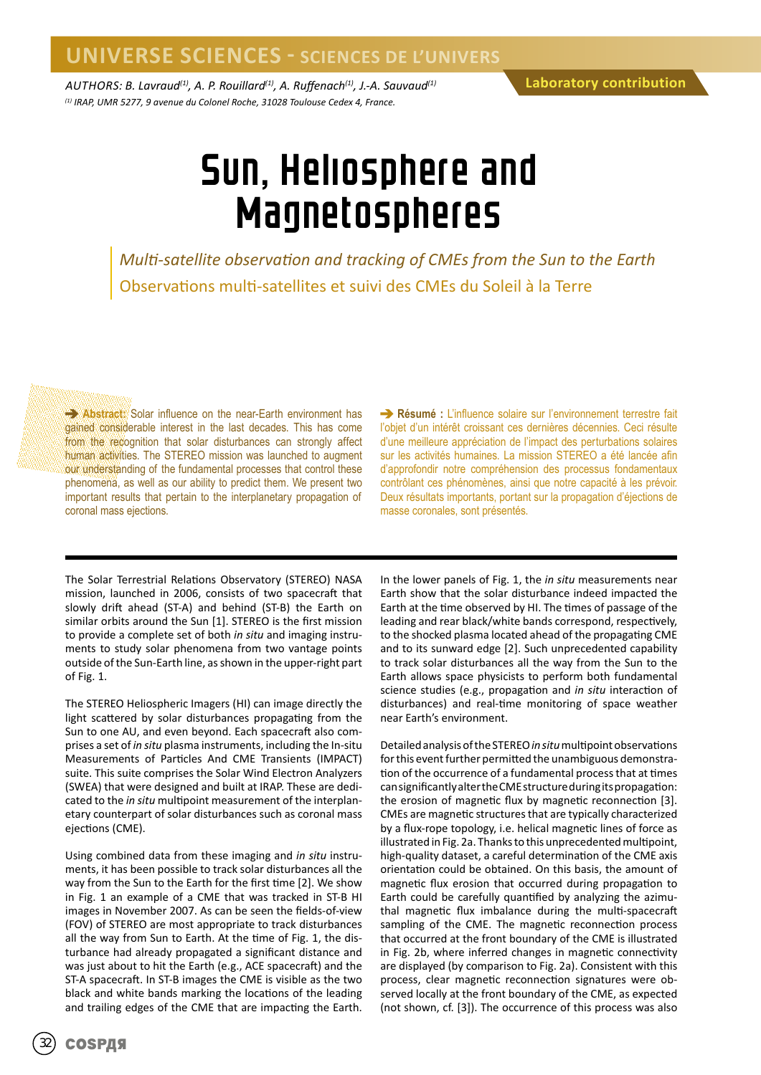*AUTHORS: B. Lavraud(1), A. P. Rouillard(1), A. Ruffenach(1), J.-A. Sauvaud(1) (1) IRAP, UMR 5277, 9 avenue du Colonel Roche, 31028 Toulouse Cedex 4, France.*

### Sun, Heliosphere and Magnetospheres

*Multi-satellite observation and tracking of CMEs from the Sun to the Earth* Observations multi-satellites et suivi des CMEs du Soleil à la Terre

**Abstract:** Solar influence on the near-Earth environment has gained considerable interest in the last decades. This has come from the recognition that solar disturbances can strongly affect human activities. The STEREO mission was launched to augment our understanding of the fundamental processes that control these phenomena, as well as our ability to predict them. We present two important results that pertain to the interplanetary propagation of coronal mass ejections.

**Résumé :** L'influence solaire sur l'environnement terrestre fait l'objet d'un intérêt croissant ces dernières décennies. Ceci résulte d'une meilleure appréciation de l'impact des perturbations solaires sur les activités humaines. La mission STEREO a été lancée afin d'approfondir notre compréhension des processus fondamentaux contrôlant ces phénomènes, ainsi que notre capacité à les prévoir. Deux résultats importants, portant sur la propagation d'éjections de masse coronales, sont présentés.

The Solar Terrestrial Relations Observatory (STEREO) NASA mission, launched in 2006, consists of two spacecraft that slowly drift ahead (ST-A) and behind (ST-B) the Earth on similar orbits around the Sun [1]. STEREO is the first mission to provide a complete set of both *in situ* and imaging instruments to study solar phenomena from two vantage points outside of the Sun-Earth line, as shown in the upper-right part of Fig. 1.

The STEREO Heliospheric Imagers (HI) can image directly the light scattered by solar disturbances propagating from the Sun to one AU, and even beyond. Each spacecraft also comprises a set of *in situ* plasma instruments, including the In-situ Measurements of Particles And CME Transients (IMPACT) suite. This suite comprises the Solar Wind Electron Analyzers (SWEA) that were designed and built at IRAP. These are dedicated to the *in situ* multipoint measurement of the interplanetary counterpart of solar disturbances such as coronal mass ejections (CME).

Using combined data from these imaging and *in situ* instruments, it has been possible to track solar disturbances all the way from the Sun to the Earth for the first time [2]. We show in Fig. 1 an example of a CME that was tracked in ST-B HI images in November 2007. As can be seen the fields-of-view (FOV) of STEREO are most appropriate to track disturbances all the way from Sun to Earth. At the time of Fig. 1, the disturbance had already propagated a significant distance and was just about to hit the Earth (e.g., ACE spacecraft) and the ST-A spacecraft. In ST-B images the CME is visible as the two black and white bands marking the locations of the leading and trailing edges of the CME that are impacting the Earth.

In the lower panels of Fig. 1, the *in situ* measurements near Earth show that the solar disturbance indeed impacted the Earth at the time observed by HI. The times of passage of the leading and rear black/white bands correspond, respectively, to the shocked plasma located ahead of the propagating CME and to its sunward edge [2]. Such unprecedented capability to track solar disturbances all the way from the Sun to the Earth allows space physicists to perform both fundamental science studies (e.g., propagation and *in situ* interaction of disturbances) and real-time monitoring of space weather near Earth's environment.

Detailed analysis of the STEREO *in situ* multipoint observations for this event further permitted the unambiguous demonstration of the occurrence of a fundamental process that at times can significantly alter the CME structure during its propagation: the erosion of magnetic flux by magnetic reconnection [3]. CMEs are magnetic structures that are typically characterized by a flux-rope topology, i.e. helical magnetic lines of force as illustrated in Fig. 2a. Thanks to this unprecedented multipoint, high-quality dataset, a careful determination of the CME axis orientation could be obtained. On this basis, the amount of magnetic flux erosion that occurred during propagation to Earth could be carefully quantified by analyzing the azimuthal magnetic flux imbalance during the multi-spacecraft sampling of the CME. The magnetic reconnection process that occurred at the front boundary of the CME is illustrated in Fig. 2b, where inferred changes in magnetic connectivity are displayed (by comparison to Fig. 2a). Consistent with this process, clear magnetic reconnection signatures were observed locally at the front boundary of the CME, as expected (not shown, cf. [3]). The occurrence of this process was also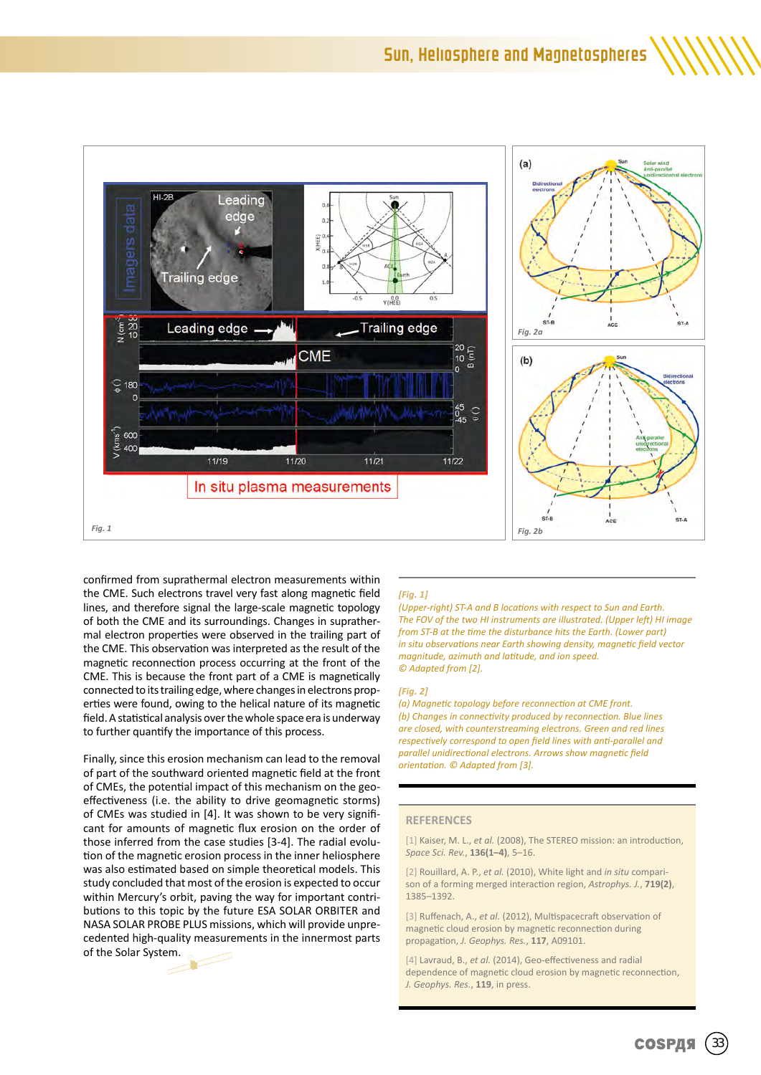

confirmed from suprathermal electron measurements within the CME. Such electrons travel very fast along magnetic field lines, and therefore signal the large-scale magnetic topology of both the CME and its surroundings. Changes in suprathermal electron properties were observed in the trailing part of the CME. This observation was interpreted as the result of the magnetic reconnection process occurring at the front of the CME. This is because the front part of a CME is magnetically connected to its trailing edge, where changes in electrons properties were found, owing to the helical nature of its magnetic field. A statistical analysis over the whole space era is underway to further quantify the importance of this process.

Finally, since this erosion mechanism can lead to the removal of part of the southward oriented magnetic field at the front of CMEs, the potential impact of this mechanism on the geoeffectiveness (i.e. the ability to drive geomagnetic storms) of CMEs was studied in [4]. It was shown to be very significant for amounts of magnetic flux erosion on the order of those inferred from the case studies [3-4]. The radial evolution of the magnetic erosion process in the inner heliosphere was also estimated based on simple theoretical models. This study concluded that most of the erosion is expected to occur within Mercury's orbit, paving the way for important contributions to this topic by the future ESA SOLAR ORBITER and NASA SOLAR PROBE PLUS missions, which will provide unprecedented high-quality measurements in the innermost parts of the Solar System.



#### *[Fig. 1]*

*(Upper-right) ST-A and B locations with respect to Sun and Earth. The FOV of the two HI instruments are illustrated. (Upper left) HI image from ST-B at the time the disturbance hits the Earth. (Lower part) in situ observations near Earth showing density, magnetic field vector magnitude, azimuth and latitude, and ion speed. © Adapted from [2].*

#### *[Fig. 2]*

*(a) Magnetic topology before reconnection at CME front. (b) Changes in connectivity produced by reconnection. Blue lines are closed, with counterstreaming electrons. Green and red lines respectively correspond to open field lines with anti-parallel and parallel unidirectional electrons. Arrows show magnetic field orientation. © Adapted from [3].*

#### **REFERENCES**

[1] Kaiser, M. L., *et al.* (2008), The STEREO mission: an introduction, *Space Sci. Rev.*, **136(1–4)**, 5–16.

[2] Rouillard, A. P., *et al.* (2010), White light and *in situ* comparison of a forming merged interaction region, *Astrophys. J.*, **719(2)**, 1385–1392.

[3] Ruffenach, A., *et al.* (2012), Multispacecraft observation of magnetic cloud erosion by magnetic reconnection during propagation, *J. Geophys. Res.*, **117**, A09101.

[4] Lavraud, B., *et al.* (2014), Geo-effectiveness and radial dependence of magnetic cloud erosion by magnetic reconnection, *J. Geophys. Res.*, **119**, in press.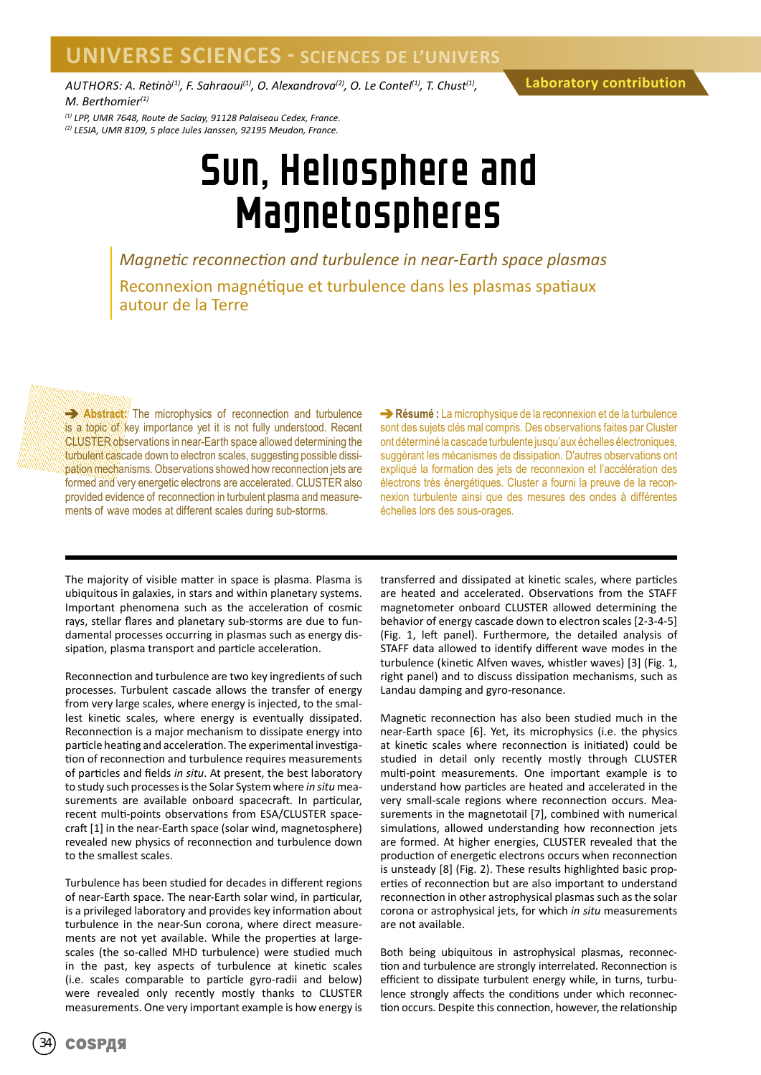*AUTHORS: A. Retinò(1), F. Sahraoui(1), O. Alexandrova(2), O. Le Contel(1), T. Chust(1), M. Berthomier(1)*

*(1) LPP, UMR 7648, Route de Saclay, 91128 Palaiseau Cedex, France. (2) LESIA, UMR 8109, 5 place Jules Janssen, 92195 Meudon, France.*

## Sun, Heliosphere and Magnetospheres

*Magnetic reconnection and turbulence in near-Earth space plasmas* Reconnexion magnétique et turbulence dans les plasmas spatiaux autour de la Terre

**Abstract:** The microphysics of reconnection and turbulence is a topic of key importance yet it is not fully understood. Recent CLUSTER observations in near-Earth space allowed determining the turbulent cascade down to electron scales, suggesting possible dissipation mechanisms. Observations showed how reconnection jets are formed and very energetic electrons are accelerated. CLUSTER also provided evidence of reconnection in turbulent plasma and measurements of wave modes at different scales during sub-storms.

**Résumé :** La microphysique de la reconnexion et de la turbulence sont des sujets clés mal compris. Des observations faites par Cluster ont déterminé la cascade turbulente jusqu'aux échelles électroniques, suggérant les mécanismes de dissipation. D'autres observations ont expliqué la formation des jets de reconnexion et l'accélération des électrons très énergétiques. Cluster a fourni la preuve de la reconnexion turbulente ainsi que des mesures des ondes à différentes échelles lors des sous-orages.

The majority of visible matter in space is plasma. Plasma is ubiquitous in galaxies, in stars and within planetary systems. Important phenomena such as the acceleration of cosmic rays, stellar flares and planetary sub-storms are due to fundamental processes occurring in plasmas such as energy dissipation, plasma transport and particle acceleration.

Reconnection and turbulence are two key ingredients of such processes. Turbulent cascade allows the transfer of energy from very large scales, where energy is injected, to the smallest kinetic scales, where energy is eventually dissipated. Reconnection is a major mechanism to dissipate energy into particle heating and acceleration. The experimental investigation of reconnection and turbulence requires measurements of particles and fields *in situ*. At present, the best laboratory to study such processes is the Solar System where *in situ* measurements are available onboard spacecraft. In particular, recent multi-points observations from ESA/CLUSTER spacecraft [1] in the near-Earth space (solar wind, magnetosphere) revealed new physics of reconnection and turbulence down to the smallest scales.

Turbulence has been studied for decades in different regions of near-Earth space. The near-Earth solar wind, in particular, is a privileged laboratory and provides key information about turbulence in the near-Sun corona, where direct measurements are not yet available. While the properties at largescales (the so-called MHD turbulence) were studied much in the past, key aspects of turbulence at kinetic scales (i.e. scales comparable to particle gyro-radii and below) were revealed only recently mostly thanks to CLUSTER measurements. One very important example is how energy is

transferred and dissipated at kinetic scales, where particles are heated and accelerated. Observations from the STAFF magnetometer onboard CLUSTER allowed determining the behavior of energy cascade down to electron scales [2-3-4-5] (Fig. 1, left panel). Furthermore, the detailed analysis of STAFF data allowed to identify different wave modes in the turbulence (kinetic Alfven waves, whistler waves) [3] (Fig. 1, right panel) and to discuss dissipation mechanisms, such as Landau damping and gyro-resonance.

Magnetic reconnection has also been studied much in the near-Earth space [6]. Yet, its microphysics (i.e. the physics at kinetic scales where reconnection is initiated) could be studied in detail only recently mostly through CLUSTER multi-point measurements. One important example is to understand how particles are heated and accelerated in the very small-scale regions where reconnection occurs. Measurements in the magnetotail [7], combined with numerical simulations, allowed understanding how reconnection jets are formed. At higher energies, CLUSTER revealed that the production of energetic electrons occurs when reconnection is unsteady [8] (Fig. 2). These results highlighted basic properties of reconnection but are also important to understand reconnection in other astrophysical plasmas such as the solar corona or astrophysical jets, for which *in situ* measurements are not available.

Both being ubiquitous in astrophysical plasmas, reconnection and turbulence are strongly interrelated. Reconnection is efficient to dissipate turbulent energy while, in turns, turbulence strongly affects the conditions under which reconnection occurs. Despite this connection, however, the relationship